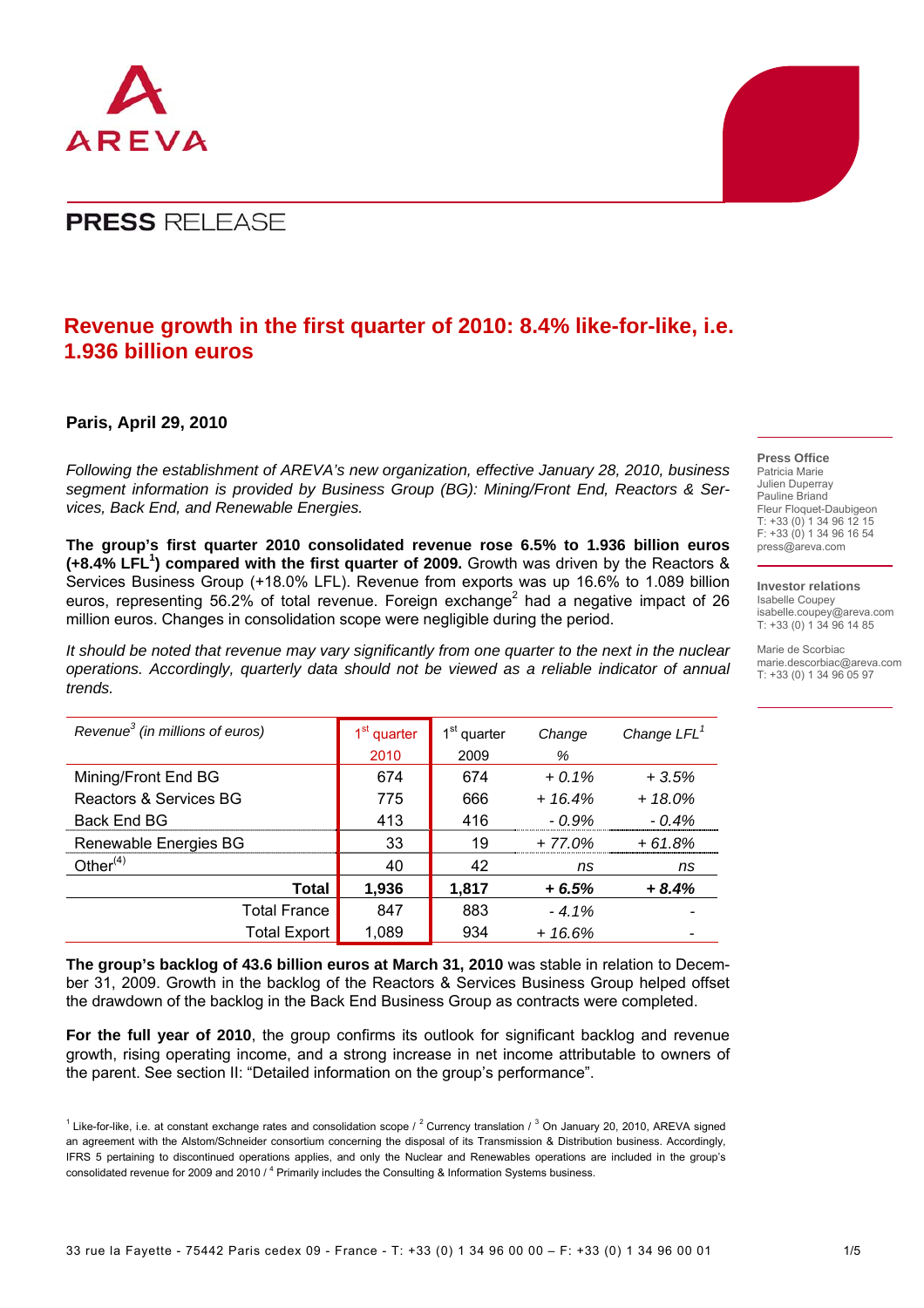

## **Revenue growth in the first quarter of 2010: 8.4% like-for-like, i.e. 1.936 billion euros**

## **Paris, April 29, 2010**

*Following the establishment of AREVA's new organization, effective January 28, 2010, business segment information is provided by Business Group (BG): Mining/Front End, Reactors & Services, Back End, and Renewable Energies.* 

**The group's first quarter 2010 consolidated revenue rose 6.5% to 1.936 billion euros (+8.4% LFL<sup>1</sup> ) compared with the first quarter of 2009.** Growth was driven by the Reactors & Services Business Group (+18.0% LFL). Revenue from exports was up 16.6% to 1.089 billion euros, representing 56.2% of total revenue. Foreign exchange<sup>2</sup> had a negative impact of 26 million euros. Changes in consolidation scope were negligible during the period.

*It should be noted that revenue may vary significantly from one quarter to the next in the nuclear operations. Accordingly, quarterly data should not be viewed as a reliable indicator of annual trends.*

| Revenue <sup>3</sup> (in millions of euros) | 1 <sup>st</sup> quarter | 1 <sup>st</sup> quarter | Change   | Change $LFL1$ |
|---------------------------------------------|-------------------------|-------------------------|----------|---------------|
|                                             | 2010                    | 2009                    | %        |               |
| Mining/Front End BG                         | 674                     | 674                     | $+0.1\%$ | $+3.5%$       |
| Reactors & Services BG                      | 775                     | 666                     | $+16.4%$ | $+18.0%$      |
| Back End BG                                 | 413                     | 416                     | $-0.9\%$ | $-0.4\%$      |
| Renewable Energies BG                       | 33                      | 19                      | $+77.0%$ | $+61.8%$      |
| Other $(4)$                                 | 40                      | 42                      | ns       | ns            |
| Total                                       | 1,936                   | 1,817                   | $+6.5%$  | $+8.4%$       |
| <b>Total France</b>                         | 847                     | 883                     | $-4.1%$  |               |
| <b>Total Export</b>                         | 1,089                   | 934                     | $+16.6%$ |               |

**The group's backlog of 43.6 billion euros at March 31, 2010** was stable in relation to December 31, 2009. Growth in the backlog of the Reactors & Services Business Group helped offset the drawdown of the backlog in the Back End Business Group as contracts were completed.

**For the full year of 2010**, the group confirms its outlook for significant backlog and revenue growth, rising operating income, and a strong increase in net income attributable to owners of the parent. See section II: "Detailed information on the group's performance".

## **Press Office**

Patricia Marie Julien Duperray Pauline Briand Fleur Floquet-Daubigeon T: +33 (0) 1 34 96 12 15 F: +33 (0) 1 34 96 16 54 press@areva.com

#### **Investor relations**

Isabelle Coupey isabelle.coupey@areva.com T: +33 (0) 1 34 96 14 85

Marie de Scorbiac marie.descorbiac@areva.com T: +33 (0) 1 34 96 05 97

<sup>&</sup>lt;sup>1</sup> Like-for-like, i.e. at constant exchange rates and consolidation scope / <sup>2</sup> Currency translation / <sup>3</sup> On January 20, 2010, AREVA signed an agreement with the Alstom/Schneider consortium concerning the disposal of its Transmission & Distribution business. Accordingly, IFRS 5 pertaining to discontinued operations applies, and only the Nuclear and Renewables operations are included in the group's consolidated revenue for 2009 and 2010 / <sup>4</sup> Primarily includes the Consulting & Information Systems business.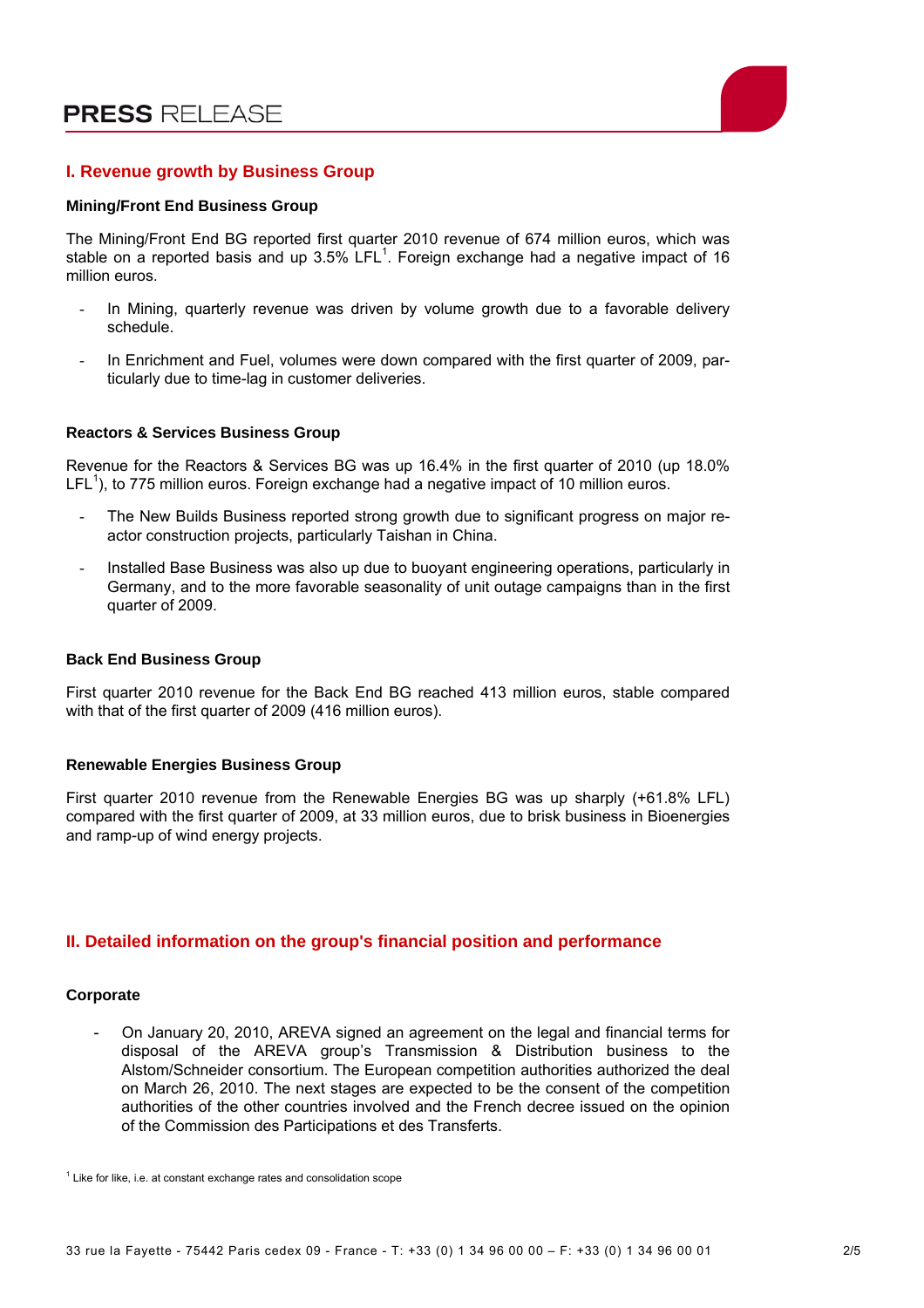

## **I. Revenue growth by Business Group**

#### **Mining/Front End Business Group**

The Mining/Front End BG reported first quarter 2010 revenue of 674 million euros, which was stable on a reported basis and up 3.5%  $LFL<sup>1</sup>$ . Foreign exchange had a negative impact of 16 million euros.

- In Mining, quarterly revenue was driven by volume growth due to a favorable delivery schedule.
- In Enrichment and Fuel, volumes were down compared with the first quarter of 2009, particularly due to time-lag in customer deliveries.

#### **Reactors & Services Business Group**

Revenue for the Reactors & Services BG was up 16.4% in the first quarter of 2010 (up 18.0% LFL<sup>1</sup>), to 775 million euros. Foreign exchange had a negative impact of 10 million euros.

- The New Builds Business reported strong growth due to significant progress on major reactor construction projects, particularly Taishan in China.
- Installed Base Business was also up due to buoyant engineering operations, particularly in Germany, and to the more favorable seasonality of unit outage campaigns than in the first quarter of 2009.

#### **Back End Business Group**

First quarter 2010 revenue for the Back End BG reached 413 million euros, stable compared with that of the first quarter of 2009 (416 million euros).

#### **Renewable Energies Business Group**

First quarter 2010 revenue from the Renewable Energies BG was up sharply (+61.8% LFL) compared with the first quarter of 2009, at 33 million euros, due to brisk business in Bioenergies and ramp-up of wind energy projects.

### **II. Detailed information on the group's financial position and performance**

#### **Corporate**

- On January 20, 2010, AREVA signed an agreement on the legal and financial terms for disposal of the AREVA group's Transmission & Distribution business to the Alstom/Schneider consortium. The European competition authorities authorized the deal on March 26, 2010. The next stages are expected to be the consent of the competition authorities of the other countries involved and the French decree issued on the opinion of the Commission des Participations et des Transferts.

 $1$  Like for like, i.e. at constant exchange rates and consolidation scope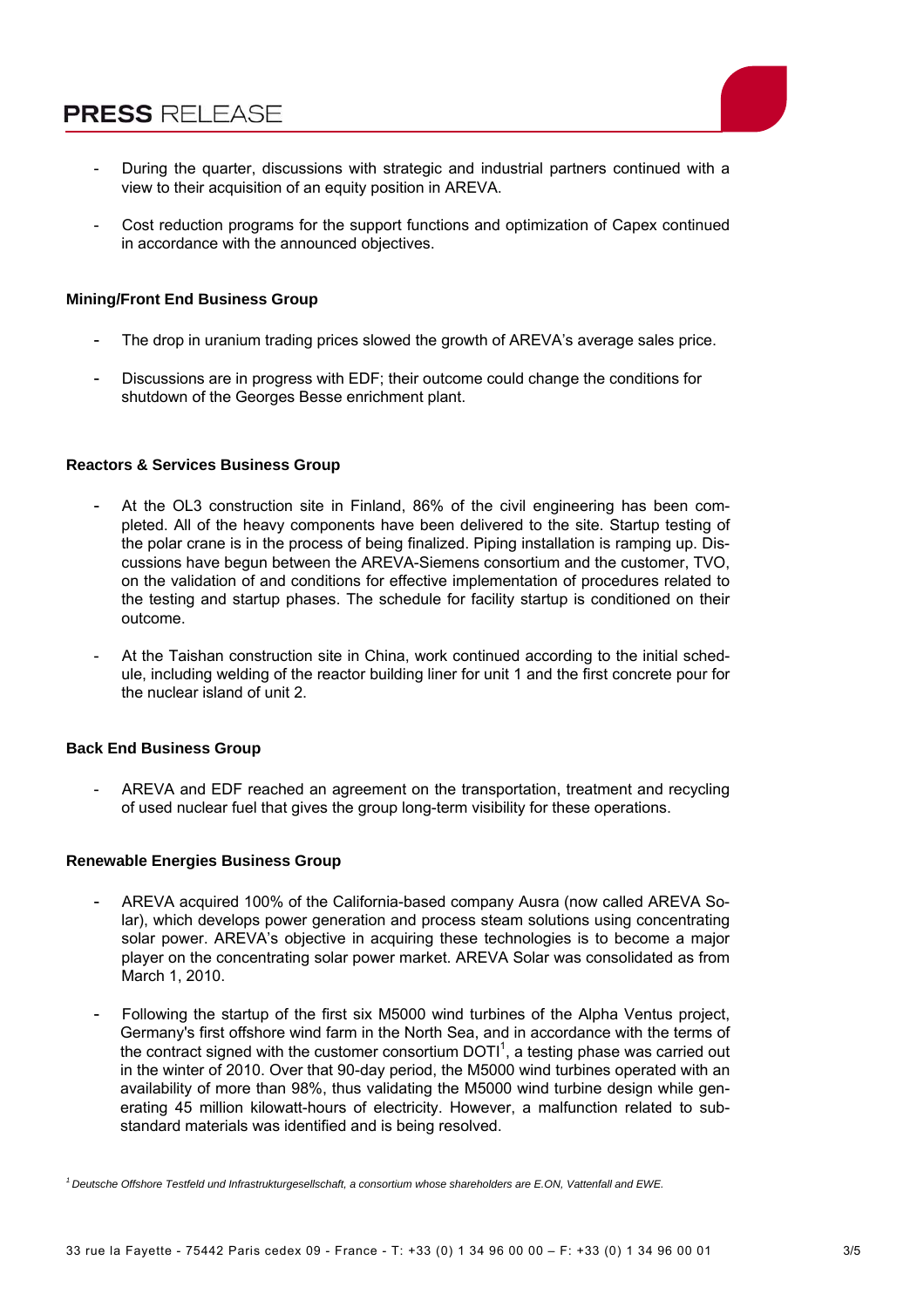

- During the quarter, discussions with strategic and industrial partners continued with a view to their acquisition of an equity position in AREVA.
- Cost reduction programs for the support functions and optimization of Capex continued in accordance with the announced objectives.

## **Mining/Front End Business Group**

- The drop in uranium trading prices slowed the growth of AREVA's average sales price.
- Discussions are in progress with EDF; their outcome could change the conditions for shutdown of the Georges Besse enrichment plant.

### **Reactors & Services Business Group**

- At the OL3 construction site in Finland, 86% of the civil engineering has been completed. All of the heavy components have been delivered to the site. Startup testing of the polar crane is in the process of being finalized. Piping installation is ramping up. Discussions have begun between the AREVA-Siemens consortium and the customer, TVO, on the validation of and conditions for effective implementation of procedures related to the testing and startup phases. The schedule for facility startup is conditioned on their outcome.
- At the Taishan construction site in China, work continued according to the initial schedule, including welding of the reactor building liner for unit 1 and the first concrete pour for the nuclear island of unit 2.

#### **Back End Business Group**

- AREVA and EDF reached an agreement on the transportation, treatment and recycling of used nuclear fuel that gives the group long-term visibility for these operations.

#### **Renewable Energies Business Group**

- AREVA acquired 100% of the California-based company Ausra (now called AREVA Solar), which develops power generation and process steam solutions using concentrating solar power. AREVA's objective in acquiring these technologies is to become a major player on the concentrating solar power market. AREVA Solar was consolidated as from March 1, 2010.
- Following the startup of the first six M5000 wind turbines of the Alpha Ventus project, Germany's first offshore wind farm in the North Sea, and in accordance with the terms of the contract signed with the customer consortium  $DOTI<sup>1</sup>$ , a testing phase was carried out in the winter of 2010. Over that 90-day period, the M5000 wind turbines operated with an availability of more than 98%, thus validating the M5000 wind turbine design while generating 45 million kilowatt-hours of electricity. However, a malfunction related to substandard materials was identified and is being resolved.

*<sup>1</sup> Deutsche Offshore Testfeld und Infrastrukturgesellschaft, a consortium whose shareholders are E.ON, Vattenfall and EWE.*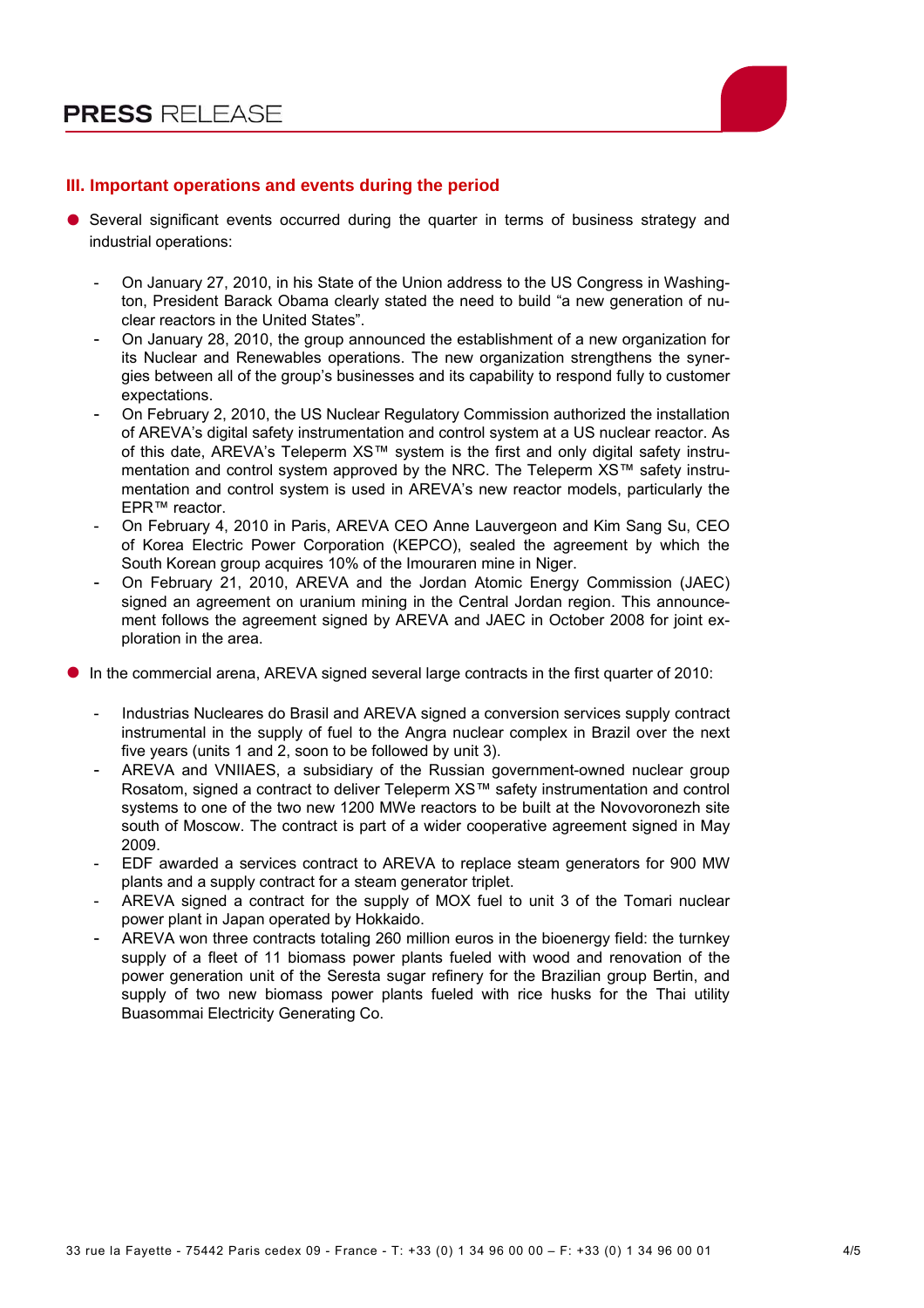

## **III. Important operations and events during the period**

- Several significant events occurred during the quarter in terms of business strategy and industrial operations:
	- On January 27, 2010, in his State of the Union address to the US Congress in Washington, President Barack Obama clearly stated the need to build "a new generation of nuclear reactors in the United States".
	- On January 28, 2010, the group announced the establishment of a new organization for its Nuclear and Renewables operations. The new organization strengthens the synergies between all of the group's businesses and its capability to respond fully to customer expectations.
	- On February 2, 2010, the US Nuclear Regulatory Commission authorized the installation of AREVA's digital safety instrumentation and control system at a US nuclear reactor. As of this date, AREVA's Teleperm XS™ system is the first and only digital safety instrumentation and control system approved by the NRC. The Teleperm XS™ safety instrumentation and control system is used in AREVA's new reactor models, particularly the EPR™ reactor.
	- On February 4, 2010 in Paris, AREVA CEO Anne Lauvergeon and Kim Sang Su, CEO of Korea Electric Power Corporation (KEPCO), sealed the agreement by which the South Korean group acquires 10% of the Imouraren mine in Niger.
	- On February 21, 2010, AREVA and the Jordan Atomic Energy Commission (JAEC) signed an agreement on uranium mining in the Central Jordan region. This announcement follows the agreement signed by AREVA and JAEC in October 2008 for joint exploration in the area.
- In the commercial arena, AREVA signed several large contracts in the first quarter of 2010:
	- Industrias Nucleares do Brasil and AREVA signed a conversion services supply contract instrumental in the supply of fuel to the Angra nuclear complex in Brazil over the next five years (units 1 and 2, soon to be followed by unit 3).
	- AREVA and VNIIAES, a subsidiary of the Russian government-owned nuclear group Rosatom, signed a contract to deliver Teleperm XS™ safety instrumentation and control systems to one of the two new 1200 MWe reactors to be built at the Novovoronezh site south of Moscow. The contract is part of a wider cooperative agreement signed in May 2009.
	- EDF awarded a services contract to AREVA to replace steam generators for 900 MW plants and a supply contract for a steam generator triplet.
	- AREVA signed a contract for the supply of MOX fuel to unit 3 of the Tomari nuclear power plant in Japan operated by Hokkaido.
	- AREVA won three contracts totaling 260 million euros in the bioenergy field: the turnkey supply of a fleet of 11 biomass power plants fueled with wood and renovation of the power generation unit of the Seresta sugar refinery for the Brazilian group Bertin, and supply of two new biomass power plants fueled with rice husks for the Thai utility Buasommai Electricity Generating Co.